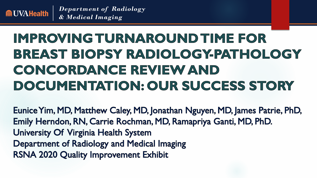

# IMPROVING TURNAROUND TIME FOR BREAST BIOPSY RADIOLOGY-PATHOLOGY CONCORDANCE REVIEW AND DOCUMENTATION: OUR SUCCESS STORY

Eunice Yim, MD, Matthew Caley, MD, Jonathan Nguyen, MD, James Patrie, PhD, Emily Herndon, RN, Carrie Rochman, MD, Ramapriya Ganti, MD, PhD. University Of Virginia Health System Department of Radiology and Medical Imaging **RSNA 2020 Quality Improvement Exhibit**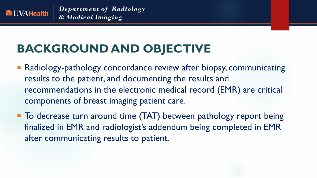

#### BACKGROUND AND OBJECT **BACKGROUND AND OBJECTIVE**

- Radiology-pathology concordance review after biopsy, communicating results to the patient, and documenting the results and recommendations in the electronic medical record (EMR) are critical components of breast imaging patient care.
- To decrease turn around time (TAT) between pathology report being finalized in EMR and radiologist's addendum being completed in EMR after communicating results to patient.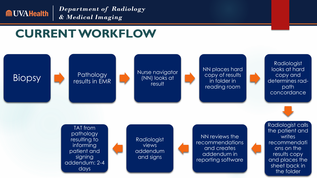

## **CURRENT WORKFLOW**

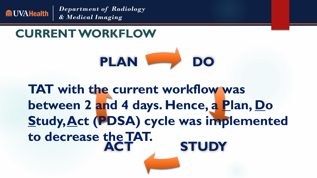

**CURRENT WORKFLOW**



**ACT STUDY TAT with the current workflow was between 2 and 4 days. Hence, a Plan, Do Study, Act (PDSA) cycle was implemented to decrease the TAT.**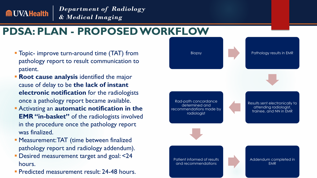

#### **PDSA: PLAN - PROPOSED WORKFLOW**

- **Topic- improve turn-around time (TAT) from** pathology report to result communication to patient.
- **Root cause analysis** identified the major cause of delay to be **the lack of instant electronic notification** for the radiologists once a pathology report became available.
- Activating an **automatic notification in the EMR "in-basket"** of the radiologists involved in the procedure once the pathology report was finalized.
- **Measurement: TAT (time between finalized)** pathology report and radiology addendum).
- **Desired measurement target and goal: <24** hours.
- **Predicted measurement result: 24-48 hours.**

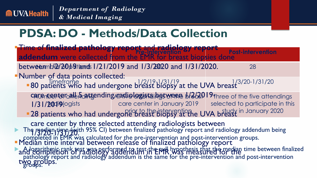

## **PDSA: DO - Methods/Data Collection**

**The median time (with 95% CI) between finalized pathology report and radiology addendum being** completed in EMR was calculated for the pre-intervention and post-intervention groups. A logarithmic rank test was performed to test the  $n\mu$ , hypothesis that the median time between finalized pathology report and radiology addendum is the same for the pre-intervention and post-intervention w**y** မျှပို **Pre-Intervention<sup>o</sup>/ Pressure Post-intervention** betweem b2/20 b9 tands 1/21/2019 and 1/3/2020 and 1/31/2020. 28  $\frac{31}{20}$  1/2/19-1/31/19  $\frac{1}{24}$  1/4  $\frac{1}{31/30}$  1/3/20-1/31/20 care center all 5 attending undielogists between  $1/2/2019$  Three of the five attendings I/31/2019 | care center in January 2019 | selected to participate in this **-28 patients who had undergone breast biopsy at the UVA breast** in January 2020 Time of **finalized pathology report** and **radiology report addendum** were collected from the EMR for breast biopsies done Number of data points collected: **80** patients who had undergone breast biopsy at the UVA breast care center by three selected attending radiologists between 9/3720-1731F/20" Median time interval between release of finalized pathology report and completion of radiology addendum in EMR was measured for the two groups.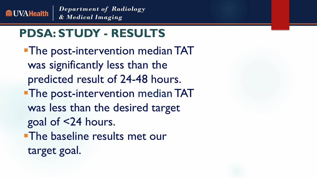

## **PDSA: STUDY - RESULTS**

**The post-intervention median TAT** was significantly less than the predicted result of 24-48 hours. **The post-intervention median TAT** was less than the desired target goal of <24 hours. **The baseline results met our** target goal.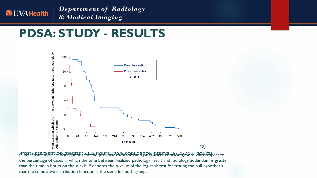

#### **PDSA: STUDY - RESULTS**



Cumulative empirical distributions for the Post-intervention median: 21.6 hours (95% confidence interval 17.6-26.0 hours) **pre-intervention** and **post-intervention** groups with respect to the percentage of cases in which the time between finalized pathology result and radiology addendum is greater than the time in hours on the x-axis. P denotes the p-value of the log-rank test for testing the null hypothesis that the cumulative distribution function is the same for both groups.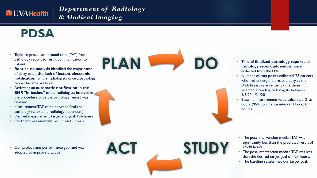

### **PDSA**

- Topic- improve turn-around time (TAT) from<br>pathology report to result communication to<br>patient pathology report to result communication to patient
- **Root cause analysis** identified the major cause of delay to be **the lack of instant electronic notification** for the radiologists once a pathology report became available.
- Activating an **automatic notification in the EMR "in-basket"** of the radiologists involved in the procedure once the pathology report was finalized.
- **Measurement: TAT (time between finalized)** pathology report and radiology addendum)
- Desired measurement target and goal: <24 hours
- Predicted measurement result: 24-48 hours

**Our project met performance goal and was** adopted to improve practice



**DO**

- Time of **finalized pathology report** and **radiology report addendum** were collected from the EMR.
- Number of data points collected: 28 patients who had undergone breast biopsy at the UVA breast care center by the three selected attending radiologists between 1/3/20-1/31/20
- Baseline measurement value calculated: 21.6 hours (95% confidence interval 17.6-26.0 hours)

- **The post-intervention median TAT was** significantly less than the predicted result of 24-48 hours.
- The post-intervention median TAT was less than the desired target goal of <24 hours.
- The baseline results met our target goal.